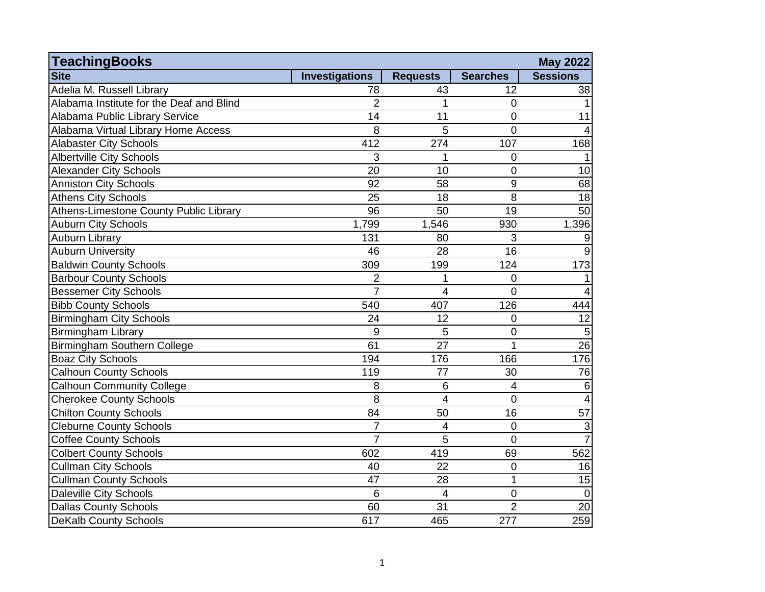| <b>TeachingBooks</b>                     |                       |                 |                  | May 2022                  |
|------------------------------------------|-----------------------|-----------------|------------------|---------------------------|
| <b>Site</b>                              | <b>Investigations</b> | <b>Requests</b> | <b>Searches</b>  | <b>Sessions</b>           |
| Adelia M. Russell Library                | 78                    | 43              | 12               | 38                        |
| Alabama Institute for the Deaf and Blind | $\overline{2}$        | 1               | $\overline{0}$   |                           |
| Alabama Public Library Service           | 14                    | 11              | $\mathbf 0$      | 11                        |
| Alabama Virtual Library Home Access      | 8                     | 5               | $\overline{0}$   | 4                         |
| <b>Alabaster City Schools</b>            | 412                   | 274             | 107              | 168                       |
| <b>Albertville City Schools</b>          | 3                     | 1               | $\overline{0}$   |                           |
| <b>Alexander City Schools</b>            | 20                    | 10              | 0                | 10                        |
| <b>Anniston City Schools</b>             | 92                    | 58              | 9                | 68                        |
| <b>Athens City Schools</b>               | 25                    | 18              | 8                | 18                        |
| Athens-Limestone County Public Library   | 96                    | 50              | 19               | 50                        |
| <b>Auburn City Schools</b>               | 1,799                 | 1,546           | 930              | 1,396                     |
| Auburn Library                           | 131                   | 80              | 3                | 9                         |
| <b>Auburn University</b>                 | 46                    | 28              | 16               | 9                         |
| <b>Baldwin County Schools</b>            | 309                   | 199             | 124              | 173                       |
| <b>Barbour County Schools</b>            | $\overline{2}$        | 1               | $\overline{0}$   |                           |
| <b>Bessemer City Schools</b>             | $\overline{7}$        | $\overline{4}$  | $\overline{0}$   | $\overline{4}$            |
| <b>Bibb County Schools</b>               | 540                   | 407             | 126              | 444                       |
| <b>Birmingham City Schools</b>           | 24                    | 12              | 0                | 12                        |
| Birmingham Library                       | 9                     | 5               | 0                | 5                         |
| Birmingham Southern College              | 61                    | 27              | 1                | $\overline{26}$           |
| <b>Boaz City Schools</b>                 | 194                   | 176             | 166              | 176                       |
| <b>Calhoun County Schools</b>            | 119                   | 77              | 30               | 76                        |
| <b>Calhoun Community College</b>         | 8                     | $6\phantom{1}6$ | 4                | $\,6$                     |
| <b>Cherokee County Schools</b>           | $\overline{8}$        | 4               | $\mathbf 0$      | $\overline{4}$            |
| <b>Chilton County Schools</b>            | 84                    | 50              | 16               | 57                        |
| <b>Cleburne County Schools</b>           | $\overline{7}$        | 4               | $\mathbf 0$      | $\ensuremath{\mathsf{3}}$ |
| <b>Coffee County Schools</b>             | $\overline{7}$        | 5               | $\overline{0}$   | $\overline{7}$            |
| <b>Colbert County Schools</b>            | 602                   | 419             | 69               | 562                       |
| <b>Cullman City Schools</b>              | 40                    | 22              | $\overline{0}$   | 16                        |
| <b>Cullman County Schools</b>            | 47                    | 28              | 1                | 15                        |
| Daleville City Schools                   | 6                     | 4               | $\overline{0}$   | $\overline{0}$            |
| Dallas County Schools                    | 60                    | 31              | $\overline{2}$   | 20                        |
| <b>DeKalb County Schools</b>             | 617                   | 465             | $\overline{277}$ | 259                       |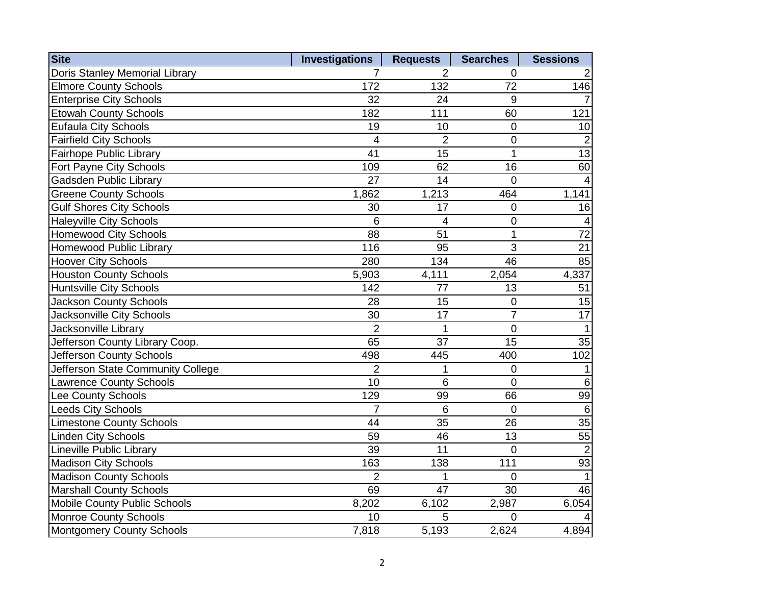| <b>Site</b>                       | <b>Investigations</b> | <b>Requests</b> | <b>Searches</b> | <b>Sessions</b> |
|-----------------------------------|-----------------------|-----------------|-----------------|-----------------|
| Doris Stanley Memorial Library    | 7                     | 2               | 0               | 2               |
| <b>Elmore County Schools</b>      | 172                   | 132             | 72              | 146             |
| <b>Enterprise City Schools</b>    | 32                    | 24              | 9               |                 |
| <b>Etowah County Schools</b>      | 182                   | 111             | 60              | 121             |
| <b>Eufaula City Schools</b>       | 19                    | 10              | $\mathbf 0$     | 10              |
| <b>Fairfield City Schools</b>     | 4                     | $\overline{2}$  | $\mathbf 0$     | $\overline{2}$  |
| Fairhope Public Library           | 41                    | 15              | 1               | $\overline{13}$ |
| Fort Payne City Schools           | 109                   | 62              | 16              | 60              |
| Gadsden Public Library            | $\overline{27}$       | 14              | $\overline{0}$  |                 |
| <b>Greene County Schools</b>      | 1,862                 | 1,213           | 464             | 1,141           |
| <b>Gulf Shores City Schools</b>   | 30                    | 17              | $\overline{0}$  | 16              |
| <b>Haleyville City Schools</b>    | $6\phantom{1}6$       | 4               | $\mathbf 0$     | 4               |
| <b>Homewood City Schools</b>      | 88                    | 51              | $\mathbf{1}$    | $\overline{72}$ |
| Homewood Public Library           | 116                   | 95              | 3               | $\overline{21}$ |
| <b>Hoover City Schools</b>        | 280                   | 134             | 46              | 85              |
| <b>Houston County Schools</b>     | 5,903                 | 4,111           | 2,054           | 4,337           |
| <b>Huntsville City Schools</b>    | 142                   | 77              | 13              | 51              |
| <b>Jackson County Schools</b>     | 28                    | 15              | $\mathbf 0$     | 15              |
| Jacksonville City Schools         | 30                    | 17              | $\overline{7}$  | $\overline{17}$ |
| Jacksonville Library              | $\overline{2}$        | 1               | $\mathbf 0$     | $\mathbf{1}$    |
| Jefferson County Library Coop.    | 65                    | 37              | 15              | 35              |
| Jefferson County Schools          | 498                   | 445             | 400             | 102             |
| Jefferson State Community College | $\overline{2}$        | 1               | $\overline{0}$  | 1               |
| Lawrence County Schools           | $\overline{10}$       | 6               | $\overline{0}$  | $6\phantom{1}6$ |
| Lee County Schools                | 129                   | 99              | 66              | 99              |
| <b>Leeds City Schools</b>         | $\overline{7}$        | $6\phantom{1}6$ | $\overline{0}$  | $6\phantom{1}6$ |
| <b>Limestone County Schools</b>   | 44                    | 35              | 26              | 35              |
| <b>Linden City Schools</b>        | 59                    | 46              | 13              | 55              |
| <b>Lineville Public Library</b>   | 39                    | 11              | $\mathbf 0$     | $\overline{2}$  |
| <b>Madison City Schools</b>       | 163                   | 138             | 111             | 93              |
| <b>Madison County Schools</b>     | $\overline{2}$        | 1               | 0               | $\mathbf{1}$    |
| <b>Marshall County Schools</b>    | 69                    | 47              | 30              | 46              |
| Mobile County Public Schools      | 8,202                 | 6,102           | 2,987           | 6,054           |
| <b>Monroe County Schools</b>      | 10                    | 5               | $\Omega$        |                 |
| Montgomery County Schools         | 7,818                 | 5,193           | 2,624           | 4,894           |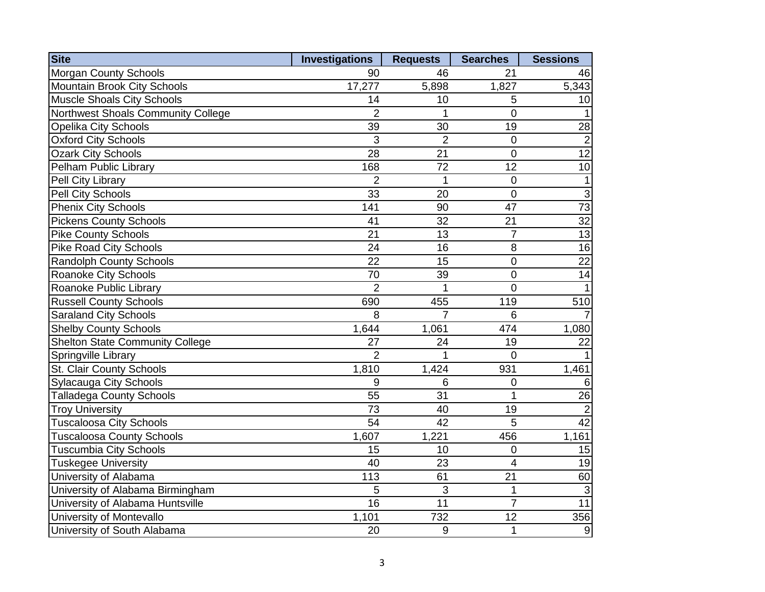| <b>Site</b>                            | <b>Investigations</b> | <b>Requests</b> | <b>Searches</b> | <b>Sessions</b>  |
|----------------------------------------|-----------------------|-----------------|-----------------|------------------|
| <b>Morgan County Schools</b>           | 90                    | 46              | 21              | 46               |
| Mountain Brook City Schools            | 17,277                | 5,898           | 1,827           | 5,343            |
| Muscle Shoals City Schools             | 14                    | 10              | 5               | 10               |
| Northwest Shoals Community College     | $\overline{2}$        | 1               | $\overline{0}$  |                  |
| <b>Opelika City Schools</b>            | 39                    | 30              | 19              | 28               |
| <b>Oxford City Schools</b>             | 3                     | $\overline{2}$  | $\mathbf 0$     | $\overline{2}$   |
| <b>Ozark City Schools</b>              | 28                    | 21              | $\overline{0}$  | $\overline{12}$  |
| Pelham Public Library                  | 168                   | $\overline{72}$ | $\overline{12}$ | 10               |
| Pell City Library                      | $\overline{2}$        | 1               | $\overline{0}$  | $\mathbf{1}$     |
| Pell City Schools                      | 33                    | 20              | $\mathbf 0$     | $\overline{3}$   |
| <b>Phenix City Schools</b>             | 141                   | 90              | 47              | $\overline{73}$  |
| <b>Pickens County Schools</b>          | 41                    | 32              | $\overline{21}$ | $\overline{32}$  |
| <b>Pike County Schools</b>             | 21                    | 13              | $\overline{7}$  | $\overline{13}$  |
| <b>Pike Road City Schools</b>          | 24                    | 16              | 8               | 16               |
| <b>Randolph County Schools</b>         | 22                    | 15              | $\overline{0}$  | $\overline{22}$  |
| <b>Roanoke City Schools</b>            | 70                    | 39              | $\overline{0}$  | 14               |
| Roanoke Public Library                 | $\overline{2}$        | 1               | $\overline{0}$  | $\mathbf 1$      |
| <b>Russell County Schools</b>          | 690                   | 455             | 119             | 510              |
| <b>Saraland City Schools</b>           | 8                     | $\overline{7}$  | 6               |                  |
| <b>Shelby County Schools</b>           | 1,644                 | 1,061           | 474             | 1,080            |
| <b>Shelton State Community College</b> | 27                    | 24              | 19              | 22               |
| Springville Library                    | $\overline{2}$        | 1               | $\overline{0}$  |                  |
| St. Clair County Schools               | 1,810                 | 1,424           | 931             | 1,461            |
| <b>Sylacauga City Schools</b>          | 9                     | 6               | $\overline{0}$  | 6                |
| <b>Talladega County Schools</b>        | 55                    | 31              | 1               | 26               |
| <b>Troy University</b>                 | 73                    | 40              | 19              | $\overline{2}$   |
| <b>Tuscaloosa City Schools</b>         | 54                    | 42              | 5               | $\overline{42}$  |
| <b>Tuscaloosa County Schools</b>       | 1,607                 | 1,221           | 456             | 1,161            |
| <b>Tuscumbia City Schools</b>          | 15                    | 10              | $\mathbf 0$     | 15               |
| <b>Tuskegee University</b>             | 40                    | 23              | $\overline{4}$  | 19               |
| University of Alabama                  | 113                   | 61              | 21              | 60               |
| University of Alabama Birmingham       | 5                     | 3               | $\mathbf 1$     | 3                |
| University of Alabama Huntsville       | 16                    | 11              | $\overline{7}$  | $\overline{11}$  |
| University of Montevallo               | 1,101                 | 732             | 12              | 356              |
| University of South Alabama            | 20                    | 9               | $\mathbf 1$     | $\boldsymbol{9}$ |